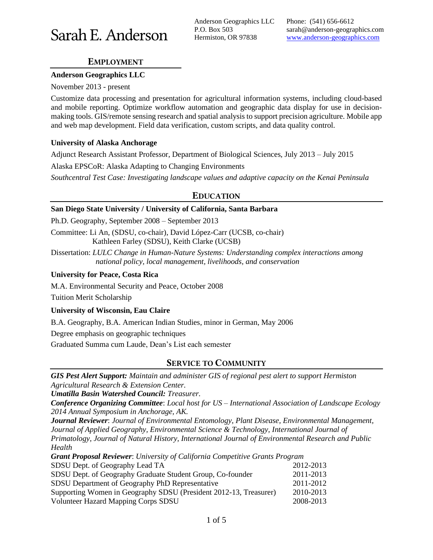# Sarah E. Anderson

Anderson Geographics LLC P.O. Box 503 Hermiston, OR 97838

Phone: (541) 656-6612 sarah@anderson-geographics.com www.anderson-geographics.com

# **EMPLOYMENT**

#### **Anderson Geographics LLC**

November 2013 - present

Customize data processing and presentation for agricultural information systems, including cloud-based and mobile reporting. Optimize workflow automation and geographic data display for use in decisionmaking tools. GIS/remote sensing research and spatial analysis to support precision agriculture. Mobile app and web map development. Field data verification, custom scripts, and data quality control.

### **University of Alaska Anchorage**

Adjunct Research Assistant Professor, Department of Biological Sciences, July 2013 – July 2015

Alaska EPSCoR: Alaska Adapting to Changing Environments

*Southcentral Test Case: Investigating landscape values and adaptive capacity on the Kenai Peninsula*

# **EDUCATION**

#### **San Diego State University / University of California, Santa Barbara**

Ph.D. Geography, September 2008 – September 2013

Committee: Li An, (SDSU, co-chair), David López-Carr (UCSB, co-chair) Kathleen Farley (SDSU), Keith Clarke (UCSB)

Dissertation: *LULC Change in Human-Nature Systems: Understanding complex interactions among national policy, local management, livelihoods, and conservation*

#### **University for Peace, Costa Rica**

M.A. Environmental Security and Peace, October 2008

Tuition Merit Scholarship

## **University of Wisconsin, Eau Claire**

B.A. Geography, B.A. American Indian Studies, minor in German, May 2006

Degree emphasis on geographic techniques

Graduated Summa cum Laude, Dean's List each semester

# **SERVICE TO COMMUNITY**

*GIS Pest Alert Support: Maintain and administer GIS of regional pest alert to support Hermiston Agricultural Research & Extension Center.*

*Umatilla Basin Watershed Council: Treasurer.*

*Conference Organizing Committee*: *Local host for US – International Association of Landscape Ecology 2014 Annual Symposium in Anchorage, AK.*

*Journal Reviewer*: *Journal of Environmental Entomology, Plant Disease, Environmental Management, Journal of Applied Geography, Environmental Science & Technology, International Journal of Primatology, Journal of Natural History, International Journal of Environmental Research and Public Health*

| <b>Grant Proposal Reviewer:</b> University of California Competitive Grants Program |           |
|-------------------------------------------------------------------------------------|-----------|
| SDSU Dept. of Geography Lead TA                                                     | 2012-2013 |
| SDSU Dept. of Geography Graduate Student Group, Co-founder                          | 2011-2013 |
| SDSU Department of Geography PhD Representative                                     | 2011-2012 |
| Supporting Women in Geography SDSU (President 2012-13, Treasurer)                   | 2010-2013 |
| <b>Volunteer Hazard Mapping Corps SDSU</b>                                          | 2008-2013 |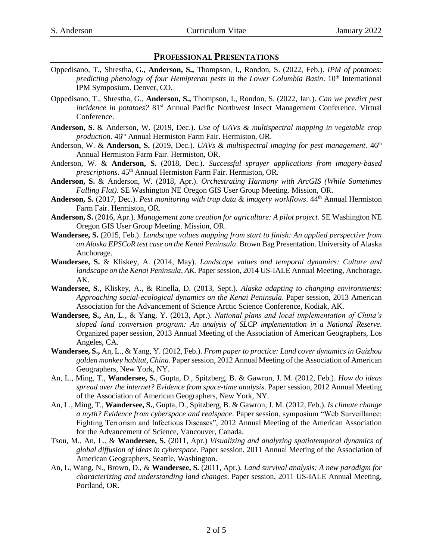### **PROFESSIONAL PRESENTATIONS**

- Oppedisano, T., Shrestha, G., **Anderson, S.,** Thompson, I., Rondon, S. (2022, Feb.). *IPM of potatoes:*  predicting phenology of four Hemipteran pests in the Lower Columbia Basin. 10<sup>th</sup> International IPM Symposium. Denver, CO.
- Oppedisano, T., Shrestha, G., **Anderson, S.,** Thompson, I., Rondon, S. (2022, Jan.). *Can we predict pest incidence in potatoes?* 81<sup>st</sup> Annual Pacific Northwest Insect Management Conference. Virtual Conference.
- **Anderson, S.** & Anderson, W. (2019, Dec.). *Use of UAVs & multispectral mapping in vegetable crop production.* 46<sup>th</sup> Annual Hermiston Farm Fair. Hermiston, OR.
- Anderson, W. & **Anderson, S.** (2019, Dec.). *UAVs & multispectral imaging for pest management.* 46<sup>th</sup> Annual Hermiston Farm Fair. Hermiston, OR.
- Anderson, W. & **Anderson, S.** (2018, Dec.). *Successful sprayer applications from imagery-based prescriptions*. 45th Annual Hermiston Farm Fair. Hermiston, OR.
- **Anderson, S.** & Anderson, W. (2018, Apr.). *Orchestrating Harmony with ArcGIS (While Sometimes Falling Flat)*. SE Washington NE Oregon GIS User Group Meeting. Mission, OR.
- Anderson, S. (2017, Dec.). *Pest monitoring with trap data & imagery workflows*.  $44<sup>th</sup>$  Annual Hermiston Farm Fair. Hermiston, OR.
- **Anderson, S.** (2016, Apr.). *Management zone creation for agriculture: A pilot project*. SE Washington NE Oregon GIS User Group Meeting. Mission, OR.
- **Wandersee, S.** (2015, Feb.). *Landscape values mapping from start to finish: An applied perspective from an Alaska EPSCoR test case on the Kenai Peninsula*. Brown Bag Presentation. University of Alaska Anchorage.
- **Wandersee, S.** & Kliskey, A. (2014, May). *Landscape values and temporal dynamics: Culture and landscape on the Kenai Peninsula, AK.* Paper session, 2014 US-IALE Annual Meeting, Anchorage, AK.
- **Wandersee, S.,** Kliskey, A., & Rinella, D. (2013, Sept.). *Alaska adapting to changing environments: Approaching social-ecological dynamics on the Kenai Peninsula*. Paper session, 2013 American Association for the Advancement of Science Arctic Science Conference, Kodiak, AK.
- **Wandersee, S.,** An, L., & Yang, Y. (2013, Apr.). *National plans and local implementation of China's sloped land conversion program: An analysis of SLCP implementation in a National Reserve*. Organized paper session, 2013 Annual Meeting of the Association of American Geographers, Los Angeles, CA.
- **Wandersee, S.,** An, L., & Yang, Y. (2012, Feb.). *From paper to practice: Land cover dynamics in Guizhou golden monkey habitat, China*. Paper session, 2012 Annual Meeting of the Association of American Geographers, New York, NY.
- An, L., Ming, T., **Wandersee, S.**, Gupta, D., Spitzberg, B. & Gawron, J. M. (2012, Feb.). *How do ideas spread over the internet? Evidence from space-time analysis*. Paper session, 2012 Annual Meeting of the Association of American Geographers, New York, NY.
- An, L., Ming, T., **Wandersee, S.**, Gupta, D., Spitzberg, B. & Gawron, J. M. (2012, Feb.). *Is climate change a myth? Evidence from cyberspace and realspace*. Paper session, symposium "Web Surveillance: Fighting Terrorism and Infectious Diseases", 2012 Annual Meeting of the American Association for the Advancement of Science, Vancouver, Canada.
- Tsou, M., An, L., & **Wandersee, S.** (2011, Apr.) *Visualizing and analyzing spatiotemporal dynamics of global diffusion of ideas in cyberspace.* Paper session, 2011 Annual Meeting of the Association of American Geographers, Seattle, Washington.
- An, L, Wang, N., Brown, D., & **Wandersee, S.** (2011, Apr.). *Land survival analysis: A new paradigm for characterizing and understanding land changes*. Paper session, 2011 US-IALE Annual Meeting, Portland, OR.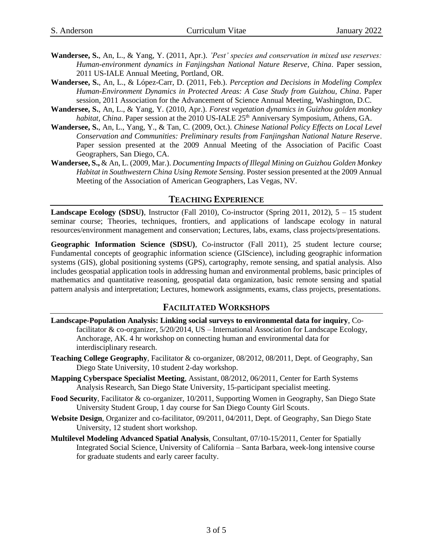- **Wandersee, S.**, An, L., & Yang, Y. (2011, Apr.). *'Pest' species and conservation in mixed use reserves: Human-environment dynamics in Fanjingshan National Nature Reserve, China*. Paper session, 2011 US-IALE Annual Meeting, Portland, OR.
- **Wandersee, S.**, An, L., & López-Carr, D. (2011, Feb.). *Perception and Decisions in Modeling Complex Human-Environment Dynamics in Protected Areas: A Case Study from Guizhou, China*. Paper session, 2011 Association for the Advancement of Science Annual Meeting, Washington, D.C.
- **Wandersee, S.**, An, L., & Yang, Y. (2010, Apr.). *Forest vegetation dynamics in Guizhou golden monkey habitat, China.* Paper session at the 2010 US-IALE 25<sup>th</sup> Anniversary Symposium, Athens, GA.
- **Wandersee, S.**, An, L., Yang, Y., & Tan, C. (2009, Oct.). *Chinese National Policy Effects on Local Level Conservation and Communities: Preliminary results from Fanjingshan National Nature Reserve*. Paper session presented at the 2009 Annual Meeting of the Association of Pacific Coast Geographers, San Diego, CA.
- **Wandersee, S.,** & An, L. (2009, Mar.). *Documenting Impacts of Illegal Mining on Guizhou Golden Monkey Habitat in Southwestern China Using Remote Sensing*. Poster session presented at the 2009 Annual Meeting of the Association of American Geographers, Las Vegas, NV.

# **TEACHING EXPERIENCE**

**Landscape Ecology (SDSU)**, Instructor (Fall 2010), Co-instructor (Spring 2011, 2012),  $5 - 15$  student seminar course; Theories, techniques, frontiers, and applications of landscape ecology in natural resources/environment management and conservation; Lectures, labs, exams, class projects/presentations.

**Geographic Information Science (SDSU)**, Co-instructor (Fall 2011), 25 student lecture course; Fundamental concepts of geographic information science (GIScience), including geographic information systems (GIS), global positioning systems (GPS), cartography, remote sensing, and spatial analysis. Also includes geospatial application tools in addressing human and environmental problems, basic principles of mathematics and quantitative reasoning, geospatial data organization, basic remote sensing and spatial pattern analysis and interpretation; Lectures, homework assignments, exams, class projects, presentations.

## **FACILITATED WORKSHOPS**

- **Landscape-Population Analysis: Linking social surveys to environmental data for inquiry**, Cofacilitator & co-organizer, 5/20/2014, US – International Association for Landscape Ecology, Anchorage, AK. 4 hr workshop on connecting human and environmental data for interdisciplinary research.
- **Teaching College Geography**, Facilitator & co-organizer, 08/2012, 08/2011, Dept. of Geography, San Diego State University, 10 student 2-day workshop.
- **Mapping Cyberspace Specialist Meeting**, Assistant, 08/2012, 06/2011, Center for Earth Systems Analysis Research, San Diego State University, 15-participant specialist meeting.
- **Food Security**, Facilitator & co-organizer, 10/2011, Supporting Women in Geography, San Diego State University Student Group, 1 day course for San Diego County Girl Scouts.
- **Website Design**, Organizer and co-facilitator, 09/2011, 04/2011, Dept. of Geography, San Diego State University, 12 student short workshop.
- **Multilevel Modeling Advanced Spatial Analysis**, Consultant, 07/10-15/2011, Center for Spatially Integrated Social Science, University of California – Santa Barbara, week-long intensive course for graduate students and early career faculty.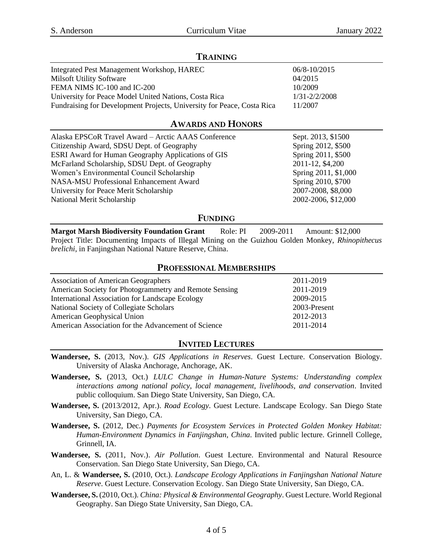# **TRAINING** Integrated Pest Management Workshop, HAREC 06/8-10/2015 Milsoft Utility Software 04/2015 FEMA NIMS IC-100 and IC-200 10/2009 University for Peace Model United Nations, Costa Rica 1/31-2/2/2008 Fundraising for Development Projects, University for Peace, Costa Rica 11/2007 **AWARDS AND HONORS** Alaska EPSCoR Travel Award – Arctic AAAS Conference Sept. 2013, \$1500 Citizenship Award, SDSU Dept. of Geography Spring 2012, \$500

ESRI Award for Human Geography Applications of GIS Spring 2011, \$500 McFarland Scholarship, SDSU Dept. of Geography 2011-12, \$4,200 Women's Environmental Council Scholarship Spring 2011, \$1,000 NASA-MSU Professional Enhancement Award Spring 2010, \$700 University for Peace Merit Scholarship 2007-2008, \$8,000 National Merit Scholarship 2002-2006, \$12,000

# **FUNDING**

**Margot Marsh Biodiversity Foundation Grant** Role: PI 2009-2011 Amount: \$12,000 Project Title: Documenting Impacts of Illegal Mining on the Guizhou Golden Monkey, *Rhinopithecus brelichi*, in Fanjingshan National Nature Reserve, China.

# **PROFESSIONAL MEMBERSHIPS**

| <b>Association of American Geographers</b>             | 2011-2019    |
|--------------------------------------------------------|--------------|
| American Society for Photogrammetry and Remote Sensing | 2011-2019    |
| International Association for Landscape Ecology        | 2009-2015    |
| National Society of Collegiate Scholars                | 2003-Present |
| American Geophysical Union                             | 2012-2013    |
| American Association for the Advancement of Science    | 2011-2014    |

# **INVITED LECTURES**

- **Wandersee, S.** (2013, Nov.). *GIS Applications in Reserves*. Guest Lecture. Conservation Biology. University of Alaska Anchorage, Anchorage, AK.
- **Wandersee, S.** (2013, Oct.) *LULC Change in Human-Nature Systems: Understanding complex interactions among national policy, local management, livelihoods, and conservation*. Invited public colloquium. San Diego State University, San Diego, CA.
- **Wandersee, S.** (2013/2012, Apr.). *Road Ecology*. Guest Lecture. Landscape Ecology. San Diego State University, San Diego, CA.
- **Wandersee, S.** (2012, Dec.) *Payments for Ecosystem Services in Protected Golden Monkey Habitat: Human-Environment Dynamics in Fanjingshan, China*. Invited public lecture. Grinnell College, Grinnell, IA.
- **Wandersee, S.** (2011, Nov.). *Air Pollution*. Guest Lecture. Environmental and Natural Resource Conservation. San Diego State University, San Diego, CA.
- An, L. & **Wandersee, S.** (2010, Oct.). *Landscape Ecology Applications in Fanjingshan National Nature Reserve*. Guest Lecture. Conservation Ecology. San Diego State University, San Diego, CA.
- **Wandersee, S.** (2010, Oct.). *China: Physical & Environmental Geography*. Guest Lecture. World Regional Geography. San Diego State University, San Diego, CA.